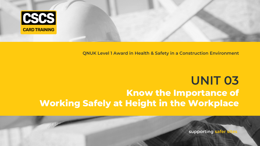

# **QNUK Level 1 Award in Health & Safety in a Construction Environment**

# **UNIT 03 Know the Importance of Working Safely at Height in the Workplace**

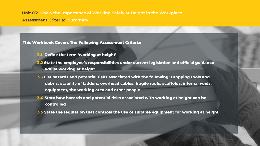**Unit 03: Know the Importance of Working Safely at Height in the Workplace Assessment Criteria: Summary**

**This Workbook Covers The Following Assessment Criteria:**

- **3.1 Define the term 'working at height'**
- **3.2 State the employee's responsibilities under current legislation and official guidance whilst working at height**
- **3.3 List hazards and potential risks associated with the following: Dropping tools and debris, stability of ladders, overhead cables, fragile roofs, scaffolds, internal voids, equipment, the working area and other people**
- **3.4 State how hazards and potential risks associated with working at height can be controlled**
- **3.5 State the regulation that controls the use of suitable equipment for working at height**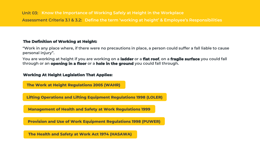# **The Definition of Working at Height:**

**"Work in any place where, if there were no precautions in place, a person could suffer a fall liable to cause personal injury".** 

**You are working at height if you are working on a ladder or a flat roof, on a fragile surface you could fall through or an opening in a floor or a hole in the ground you could fall through.** 

## **Working At Height Legislation That Applies:**

**The Work at Height Regulations 2005 (WAHR)**

**Lifting Operations and Lifting Equipment Regulations 1998 (LOLER)**

**Management of Health and Safety at Work Regulations 1999**

**Provision and Use of Work Equipment Regulations 1998 (PUWER)**

**The Health and Safety at Work Act 1974 (HASAWA)**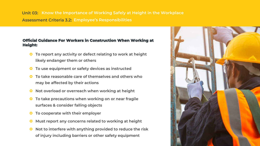**Unit 03: Know the Importance of Working Safely at Height in the Workplace Assessment Criteria 3.2: Employee's Responsibilities**

#### **Official Guidance For Workers in Construction When Working at Height:**

- **O** To report any activity or defect relating to work at height **likely endanger them or others**
- **To use equipment or safety devices as instructed**
- **To take reasonable care of themselves and others who may be affected by their actions**
- **O** Not overload or overreach when working at height
- **O** To take precautions when working on or near fragile **surfaces & consider falling objects**
- **To cooperate with their employer**
- **O** Must report any concerns related to working at height
- **O** Not to interfere with anything provided to reduce the risk **of injury including barriers or other safety equipment**

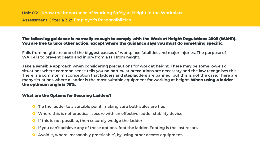#### **The following guidance is normally enough to comply with the Work at Height Regulations 2005 (WAHR). You are free to take other action, except where the guidance says you must do something specific.**

**Falls from height are one of the biggest causes of workplace fatalities and major injuries. The purpose of WAHR is to prevent death and injury from a fall from height.**

**Take a sensible approach when considering precautions for work at height. There may be some low-risk situations where common sense tells you no particular precautions are necessary and the law recognises this. There is a common misconception that ladders and stepladders are banned, but this is not the case. There are many situations where a ladder is the most suitable equipment for working at height. When using a ladder the optimum angle is 75%.**

### **What are the Options for Securing Ladders?**

- **Tie the ladder to a suitable point, making sure both stiles are tied**
- **Where this is not practical, secure with an effective ladder stability device**
- **If this is not possible, then securely wedge the ladder**
- **O** If you can't achieve any of these options, foot the ladder. Footing is the last resort.
- **Avoid it, where 'reasonably practicable', by using other access equipment.**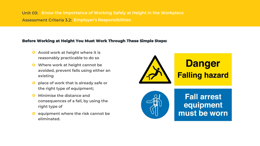**Unit 03: Know the Importance of Working Safely at Height in the Workplace Assessment Criteria 3.2: Employer's Responsibilities**

#### **Before Working at Height You Must Work Through These Simple Steps:**

- **Q** Avoid work at height where it is **reasonably practicable to do so**
- **Where work at height cannot be avoided, prevent falls using either an existing**
- **place of work that is already safe or the right type of equipment;**
- **Q** Minimise the distance and **consequences of a fall, by using the right type of**
- **equipment where the risk cannot be eliminated.**

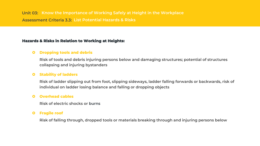#### **Hazards & Risks in Relation to Working at Heights:**

# **O** Dropping tools and debris

**Risk of tools and debris injuring persons below and damaging structures; potential of structures collapsing and injuring bystanders**

### **Stability of ladders**

**Risk of ladder slipping out from foot, slipping sideways, ladder falling forwards or backwards, risk of individual on ladder losing balance and falling or dropping objects**

#### **Overhead cables**

**Risk of electric shocks or burns**

#### **Fragile roof**

**Risk of falling through, dropped tools or materials breaking through and injuring persons below**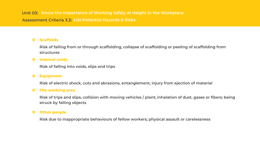## **Scaffolds**

**Risk of falling from or through scaffolding, collapse of scaffolding or peeling of scaffolding from structures**

#### **Internal voids**

**Risk of falling into voids, slips and trips**

# **Equipment**

**Risk of electric shock, cuts and abrasions, entanglement, injury from ejection of material**

#### **O** The working area

**Risk of trips and slips, collision with moving vehicles / plant; inhalation of dust, gases or fibers; being struck by falling objects**

#### **Other people**

**Risk due to inappropriate behaviours of fellow workers; physical assault or carelessness**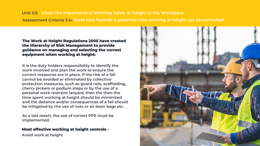# **Unit 03: Know the Importance of Working Safely at Height in the Workplace Assessment Criteria 3.4: State how hazards & potential risks working at height can be controlled**

#### **The Work at Height Regulations 2005 have created the Hierarchy of Risk Management to provide guidance on managing and selecting the correct equipment when working at height:**

**It is the duty holders responsibility to identify the work involved and plan the work to ensure the correct measures are in place. If the risk of a fall cannot be avoided or eliminated by collective protection measures, such as guard rails, scaffolding, cherry pickers or podium steps or by the use of a personal work restraint lanyard, then the then the time spent working at height should be minimized and the distance and/or consequences of a fall should be mitigated by the use of nets or air bean bags etc.** 

**As a last resort, the use of correct PPE must be implemented.**

# **Most effective working at height controls -**

**Avoid work at height**

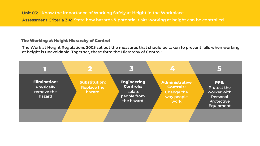## **The Working at Height Hierarchy of Control**

**The Work at Height Regulations 2005 set out the measures that should be taken to prevent falls when working at height is unavoidable. Together, these form the Hierarchy of Control:**

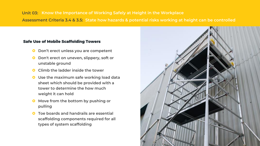# **Unit 03: Know the Importance of Working Safely at Height in the Workplace Assessment Criteria 3.4 & 3.5: State how hazards & potential risks working at height can be controlled**

#### **Safe Use of Mobile Scaffolding Towers**

- **O** Don't erect unless you are competent
- **O** Don't erect on uneven, slippery, soft or **unstable ground**
- **C** Climb the ladder inside the tower
- **Use the maximum safe working load data sheet which should be provided with a tower to determine the how much weight it can hold**
- **O** Move from the bottom by pushing or **pulling**
- **Toe boards and handrails are essential scaffolding components required for all types of system scaffolding**

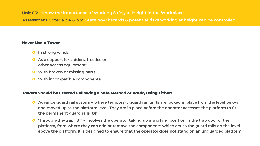#### **Never Use a Tower**

- **O** In strong winds
- **As a support for ladders, trestles or other access equipment;**
- **With broken or missing parts**
- **With incompatible components**

# **Towers Should be Erected Following a Safe Method of Work, Using Either:**

- **Advance guard rail system – where temporary guard rail units are locked in place from the level below and moved up to the platform level. They are in place before the operator accesses the platform to fit the permanent guard rails. Or**
- **'Through-the-trap' (3T) – involves the operator taking up a working position in the trap door of the platform, from where they can add or remove the components which act as the guard rails on the level above the platform. It is designed to ensure that the operator does not stand on an unguarded platform.**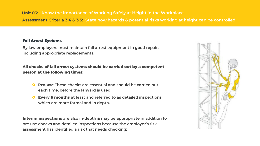### **Fall Arrest Systems**

**By law employers must maintain fall arrest equipment in good repair, including appropriate replacements.**

**All checks of fall arrest systems should be carried out by a competent person at the following times:**

- **Pre-use These checks are essential and should be carried out each time, before the lanyard is used.**
- **Every 6 months at least and referred to as detailed inspections which are more formal and in depth.**

**Interim inspections are also in-depth & may be appropriate in addition to pre use checks and detailed inspections because the employer's risk assessment has identified a risk that needs checking:**